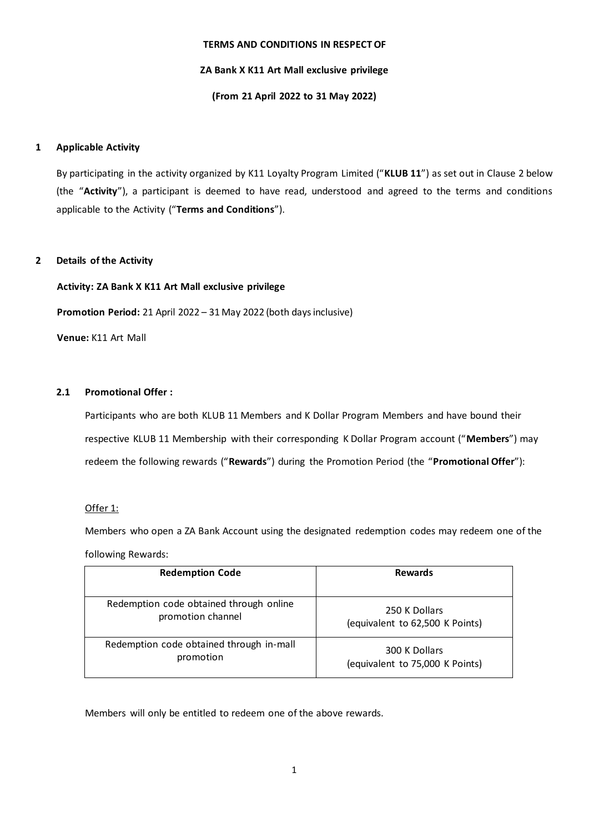### **TERMS AND CONDITIONS IN RESPECT OF**

## **ZA Bank X K11 Art Mall exclusive privilege**

## **(From 21 April 2022 to 31 May 2022)**

## **1 Applicable Activity**

By participating in the activity organized by K11 Loyalty Program Limited ("**KLUB 11**") as set out in Clause 2 below (the "**Activity**"), a participant is deemed to have read, understood and agreed to the terms and conditions applicable to the Activity ("**Terms and Conditions**").

## **2 Details of the Activity**

# **Activity: ZA Bank X K11 Art Mall exclusive privilege**

**Promotion Period:** 21 April 2022 – 31 May 2022 (both days inclusive)

**Venue:** K11 Art Mall

## **2.1 Promotional Offer :**

Participants who are both KLUB 11 Members and K Dollar Program Members and have bound their respective KLUB 11 Membership with their corresponding K Dollar Program account ("**Members**") may redeem the following rewards ("**Rewards**") during the Promotion Period (the "**Promotional Offer**"):

## Offer 1:

Members who open a ZA Bank Account using the designated redemption codes may redeem one of the following Rewards:

| <b>Redemption Code</b>                   | <b>Rewards</b>                  |
|------------------------------------------|---------------------------------|
| Redemption code obtained through online  | 250 K Dollars                   |
| promotion channel                        | (equivalent to 62,500 K Points) |
| Redemption code obtained through in-mall | 300 K Dollars                   |
| promotion                                | (equivalent to 75,000 K Points) |

Members will only be entitled to redeem one of the above rewards.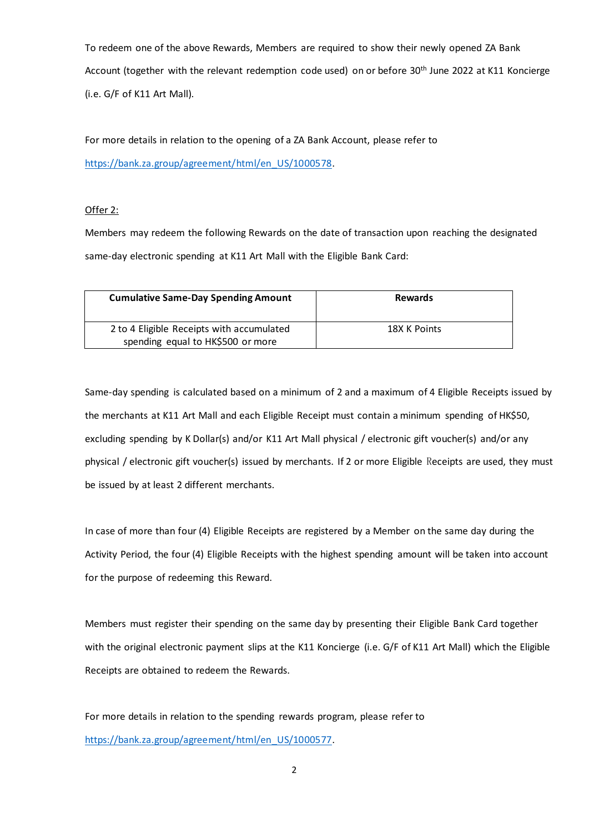To redeem one of the above Rewards, Members are required to show their newly opened ZA Bank Account (together with the relevant redemption code used) on or before 30<sup>th</sup> June 2022 at K11 Koncierge (i.e. G/F of K11 Art Mall).

For more details in relation to the opening of a ZA Bank Account, please refer to [https://bank.za.group/agreement/html/en\\_US/1000578.](https://bank.za.group/agreement/html/en_US/1000578)

# Offer 2:

Members may redeem the following Rewards on the date of transaction upon reaching the designated same-day electronic spending at K11 Art Mall with the Eligible Bank Card:

| <b>Cumulative Same-Day Spending Amount</b>                                     | <b>Rewards</b> |
|--------------------------------------------------------------------------------|----------------|
| 2 to 4 Eligible Receipts with accumulated<br>spending equal to HK\$500 or more | 18X K Points   |

Same-day spending is calculated based on a minimum of 2 and a maximum of 4 Eligible Receipts issued by the merchants at K11 Art Mall and each Eligible Receipt must contain a minimum spending of HK\$50, excluding spending by K Dollar(s) and/or K11 Art Mall physical / electronic gift voucher(s) and/or any physical / electronic gift voucher(s) issued by merchants. If 2 or more Eligible Receipts are used, they must be issued by at least 2 different merchants.

In case of more than four (4) Eligible Receipts are registered by a Member on the same day during the Activity Period, the four (4) Eligible Receipts with the highest spending amount will be taken into account for the purpose of redeeming this Reward.

Members must register their spending on the same day by presenting their Eligible Bank Card together with the original electronic payment slips at the K11 Koncierge (i.e. G/F of K11 Art Mall) which the Eligible Receipts are obtained to redeem the Rewards.

For more details in relation to the spending rewards program, please refer to [https://bank.za.group/agreement/html/en\\_US/1000577.](https://bank.za.group/agreement/html/en_US/1000577)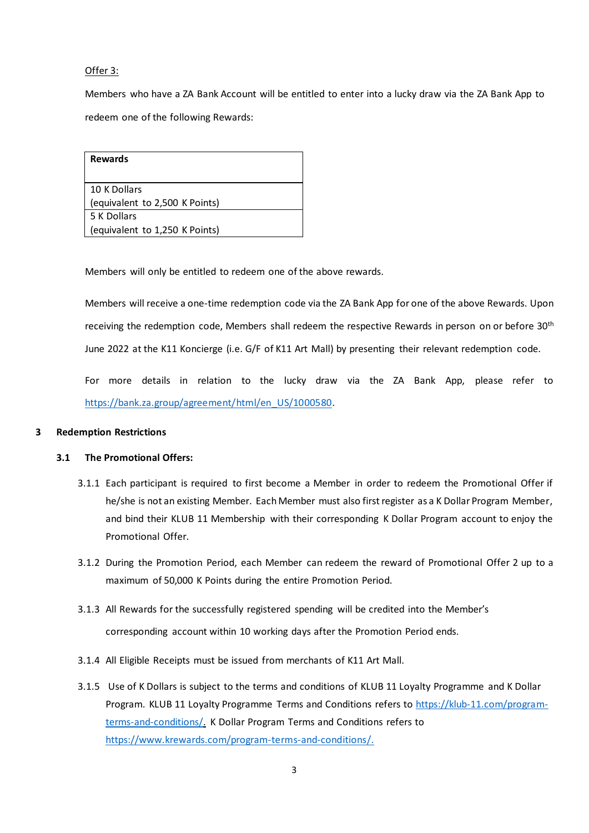## Offer 3:

Members who have a ZA Bank Account will be entitled to enter into a lucky draw via the ZA Bank App to redeem one of the following Rewards:

| <b>Rewards</b>                 |
|--------------------------------|
| 10 K Dollars                   |
| (equivalent to 2,500 K Points) |
| 5 K Dollars                    |
| (equivalent to 1,250 K Points) |

Members will only be entitled to redeem one of the above rewards.

Members will receive a one-time redemption code via the ZA Bank App for one of the above Rewards. Upon receiving the redemption code, Members shall redeem the respective Rewards in person on or before 30<sup>th</sup> June 2022 at the K11 Koncierge (i.e. G/F of K11 Art Mall) by presenting their relevant redemption code.

For more details in relation to the lucky draw via the ZA Bank App, please refer to [https://bank.za.group/agreement/html/en\\_US/1000580.](https://bank.za.group/agreement/html/en_US/1000580)

### **3 Redemption Restrictions**

### **3.1 The Promotional Offers:**

- 3.1.1 Each participant is required to first become a Member in order to redeem the Promotional Offer if he/she is not an existing Member. Each Member must also first register as a K Dollar Program Member, and bind their KLUB 11 Membership with their corresponding K Dollar Program account to enjoy the Promotional Offer.
- 3.1.2 During the Promotion Period, each Member can redeem the reward of Promotional Offer 2 up to a maximum of 50,000 K Points during the entire Promotion Period.
- 3.1.3 All Rewards for the successfully registered spending will be credited into the Member's corresponding account within 10 working days after the Promotion Period ends.
- 3.1.4 All Eligible Receipts must be issued from merchants of K11 Art Mall.
- 3.1.5 Use of K Dollars is subject to the terms and conditions of KLUB 11 Loyalty Programme and K Dollar Program. KLUB 11 Loyalty Programme Terms and Conditions refers to [https://klub-11.com/program](https://klub-11.com/program-terms-and-conditions/)[terms-and-conditions/.](https://klub-11.com/program-terms-and-conditions/) K Dollar Program Terms and Conditions refers to https://www.krewards.com/program-terms-and-conditions/.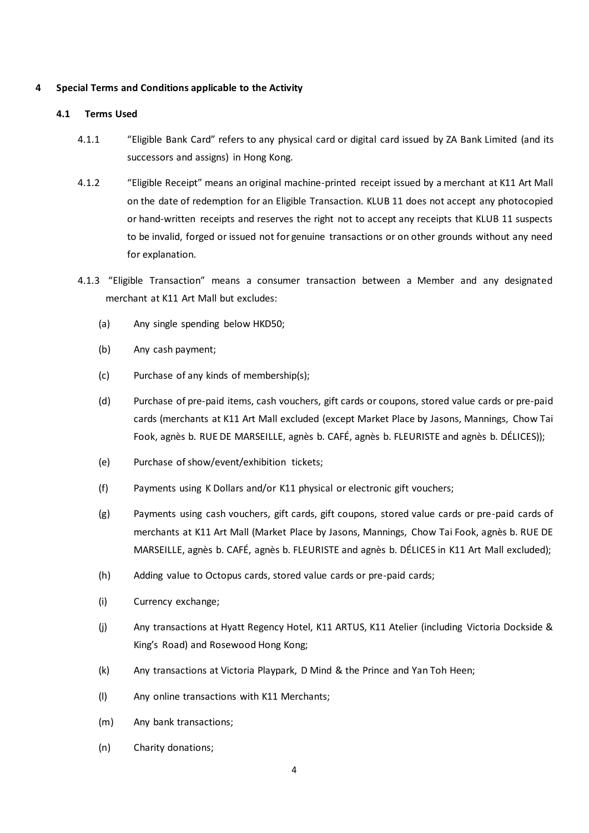## **4 Special Terms and Conditions applicable to the Activity**

### **4.1 Terms Used**

- 4.1.1 "Eligible Bank Card" refers to any physical card or digital card issued by ZA Bank Limited (and its successors and assigns) in Hong Kong.
- 4.1.2 "Eligible Receipt" means an original machine-printed receipt issued by a merchant at K11 Art Mall on the date of redemption for an Eligible Transaction. KLUB 11 does not accept any photocopied or hand-written receipts and reserves the right not to accept any receipts that KLUB 11 suspects to be invalid, forged or issued not for genuine transactions or on other grounds without any need for explanation.
- 4.1.3 "Eligible Transaction" means a consumer transaction between a Member and any designated merchant at K11 Art Mall but excludes:
	- (a) Any single spending below HKD50;
	- (b) Any cash payment;
	- (c) Purchase of any kinds of membership(s);
	- (d) Purchase of pre-paid items, cash vouchers, gift cards or coupons, stored value cards or pre-paid cards (merchants at K11 Art Mall excluded (except Market Place by Jasons, Mannings, Chow Tai Fook, agnès b. RUE DE MARSEILLE, agnès b. CAFÉ, agnès b. FLEURISTE and agnès b. DÉLICES));
	- (e) Purchase of show/event/exhibition tickets;
	- (f) Payments using K Dollars and/or K11 physical or electronic gift vouchers;
	- (g) Payments using cash vouchers, gift cards, gift coupons, stored value cards or pre-paid cards of merchants at K11 Art Mall (Market Place by Jasons, Mannings, Chow Tai Fook, agnès b. RUE DE MARSEILLE, agnès b. CAFÉ, agnès b. FLEURISTE and agnès b. DÉLICES in K11 Art Mall excluded);
	- (h) Adding value to Octopus cards, stored value cards or pre-paid cards;
	- (i) Currency exchange;
	- (j) Any transactions at Hyatt Regency Hotel, K11 ARTUS, K11 Atelier (including Victoria Dockside & King's Road) and Rosewood Hong Kong;
	- (k) Any transactions at Victoria Playpark, D Mind & the Prince and Yan Toh Heen;
	- (l) Any online transactions with K11 Merchants;
	- (m) Any bank transactions;
	- (n) Charity donations;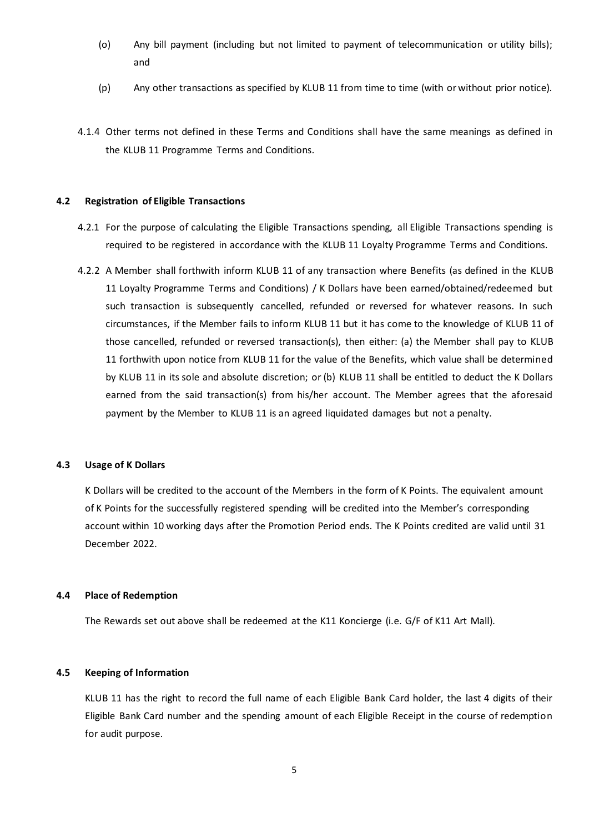- (o) Any bill payment (including but not limited to payment of telecommunication or utility bills); and
- (p) Any other transactions as specified by KLUB 11 from time to time (with or without prior notice).
- 4.1.4 Other terms not defined in these Terms and Conditions shall have the same meanings as defined in the KLUB 11 Programme Terms and Conditions.

### **4.2 Registration of Eligible Transactions**

- 4.2.1 For the purpose of calculating the Eligible Transactions spending, all Eligible Transactions spending is required to be registered in accordance with the KLUB 11 Loyalty Programme Terms and Conditions.
- 4.2.2 A Member shall forthwith inform KLUB 11 of any transaction where Benefits (as defined in the KLUB 11 Loyalty Programme Terms and Conditions) / K Dollars have been earned/obtained/redeemed but such transaction is subsequently cancelled, refunded or reversed for whatever reasons. In such circumstances, if the Member fails to inform KLUB 11 but it has come to the knowledge of KLUB 11 of those cancelled, refunded or reversed transaction(s), then either: (a) the Member shall pay to KLUB 11 forthwith upon notice from KLUB 11 for the value of the Benefits, which value shall be determined by KLUB 11 in its sole and absolute discretion; or (b) KLUB 11 shall be entitled to deduct the K Dollars earned from the said transaction(s) from his/her account. The Member agrees that the aforesaid payment by the Member to KLUB 11 is an agreed liquidated damages but not a penalty.

### **4.3 Usage of K Dollars**

K Dollars will be credited to the account of the Members in the form of K Points. The equivalent amount of K Points for the successfully registered spending will be credited into the Member's corresponding account within 10 working days after the Promotion Period ends. The K Points credited are valid until 31 December 2022.

### **4.4 Place of Redemption**

The Rewards set out above shall be redeemed at the K11 Koncierge (i.e. G/F of K11 Art Mall).

## **4.5 Keeping of Information**

KLUB 11 has the right to record the full name of each Eligible Bank Card holder, the last 4 digits of their Eligible Bank Card number and the spending amount of each Eligible Receipt in the course of redemption for audit purpose.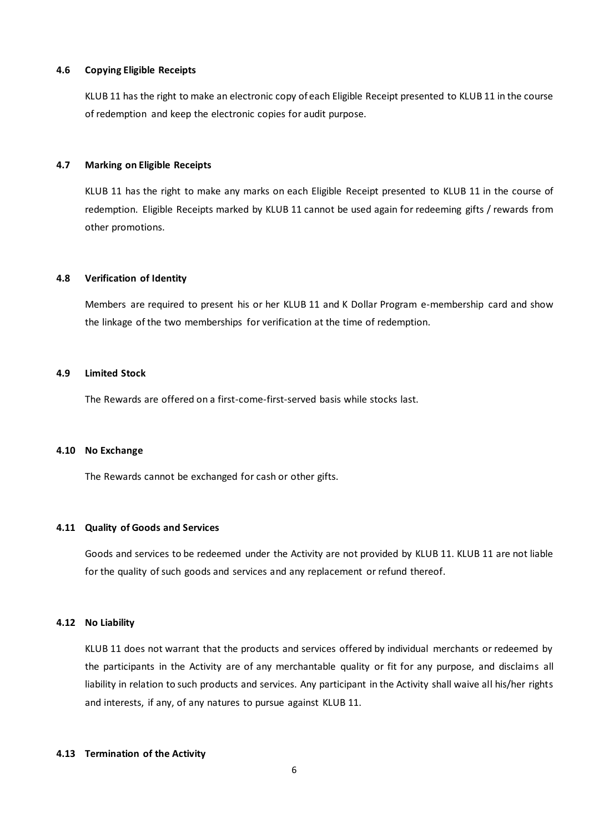### **4.6 Copying Eligible Receipts**

KLUB 11 has the right to make an electronic copy of each Eligible Receipt presented to KLUB 11 in the course of redemption and keep the electronic copies for audit purpose.

#### **4.7 Marking on Eligible Receipts**

KLUB 11 has the right to make any marks on each Eligible Receipt presented to KLUB 11 in the course of redemption. Eligible Receipts marked by KLUB 11 cannot be used again for redeeming gifts / rewards from other promotions.

#### **4.8 Verification of Identity**

Members are required to present his or her KLUB 11 and K Dollar Program e-membership card and show the linkage of the two memberships for verification at the time of redemption.

## **4.9 Limited Stock**

The Rewards are offered on a first-come-first-served basis while stocks last.

### **4.10 No Exchange**

The Rewards cannot be exchanged for cash or other gifts.

## **4.11 Quality of Goods and Services**

Goods and services to be redeemed under the Activity are not provided by KLUB 11. KLUB 11 are not liable for the quality of such goods and services and any replacement or refund thereof.

#### **4.12 No Liability**

KLUB 11 does not warrant that the products and services offered by individual merchants or redeemed by the participants in the Activity are of any merchantable quality or fit for any purpose, and disclaims all liability in relation to such products and services. Any participant in the Activity shall waive all his/her rights and interests, if any, of any natures to pursue against KLUB 11.

#### **4.13 Termination of the Activity**

6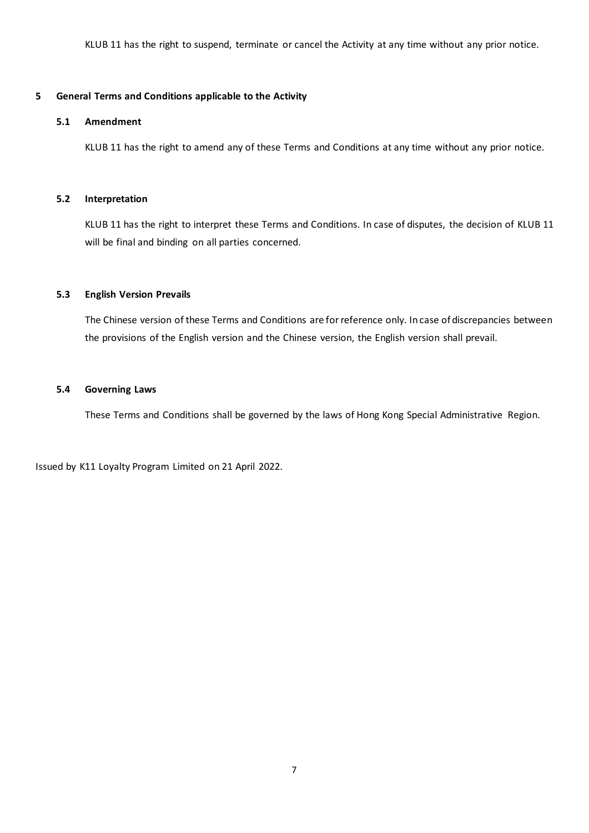KLUB 11 has the right to suspend, terminate or cancel the Activity at any time without any prior notice.

## **5 General Terms and Conditions applicable to the Activity**

### **5.1 Amendment**

KLUB 11 has the right to amend any of these Terms and Conditions at any time without any prior notice.

## **5.2 Interpretation**

KLUB 11 has the right to interpret these Terms and Conditions. In case of disputes, the decision of KLUB 11 will be final and binding on all parties concerned.

## **5.3 English Version Prevails**

The Chinese version of these Terms and Conditions are for reference only. In case of discrepancies between the provisions of the English version and the Chinese version, the English version shall prevail.

## **5.4 Governing Laws**

These Terms and Conditions shall be governed by the laws of Hong Kong Special Administrative Region.

Issued by K11 Loyalty Program Limited on 21 April 2022.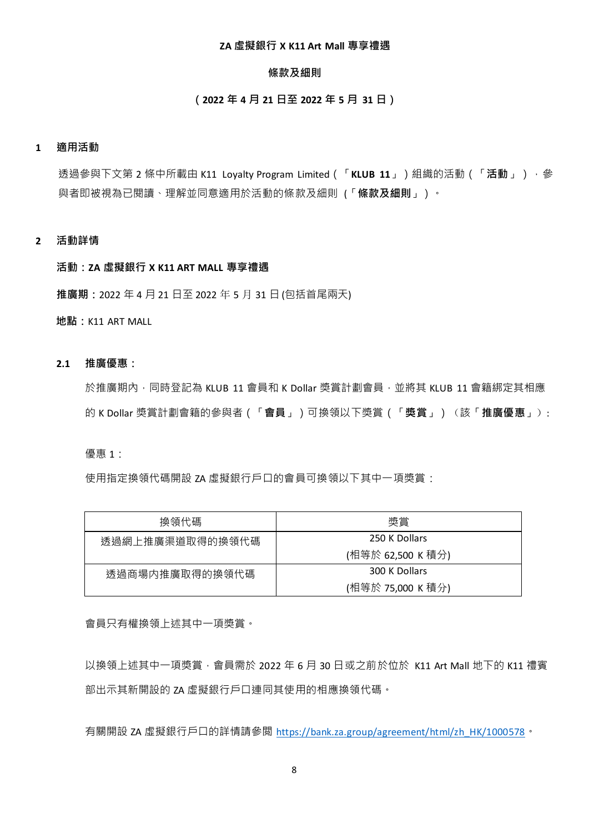## **ZA 虛擬銀行 X K11 Art Mall 專享禮遇**

## **條款及細則**

## **(2022 年 4 月 21 日至 2022 年 5 月 31 日)**

## **1 適用活動**

透過參與下文第 2 條中所載由 K11 Loyalty Program Limited(「**KLUB 11**」)組織的活動(「**活動**」),參 與者即被視為已閱讀、理解並同意適用於活動的條款及細則 (「**條款及細則**」)。

## **2 活動詳情**

## **活動:ZA 虛擬銀行 X K11 ART MALL 專享禮遇**

**推廣期:**2022 年 4 月 21 日至 2022 年 5 月 31 日 (包括首尾兩天)

**地點:**K11 ART MALL

## **2.1 推廣優惠:**

於推廣期內,同時登記為 KLUB 11 會員和 K Dollar 獎賞計劃會員,並將其 KLUB 11 會籍綁定其相應 的 K Dollar 獎賞計劃會籍的參與者(「**會員**」)可換領以下獎賞(「**獎賞**」)(該「**推廣優惠**」):

優惠 1:

使用指定換領代碼開設 ZA 虚擬銀行戶口的會員可換領以下其中一項獎賞:

| 換領代碼            | 獎賞                |
|-----------------|-------------------|
| 透過網上推廣渠道取得的換領代碼 | 250 K Dollars     |
|                 | (相等於 62,500 K 積分) |
| 透過商場内推廣取得的換領代碼  | 300 K Dollars     |
|                 | (相等於 75,000 K 積分) |

會員只有權換領上述其中一項獎賞。

以換領上述其中一項獎賞,會員需於 2022 年 6 月 30 日或之前於位於 K11 Art Mall 地下的 K11 禮賓 部出示其新開設的 ZA 虛擬銀行戶口連同其使用的相應換領代碼。

有關開設 ZA 虛擬銀行戶口的詳情請參閲 [https://bank.za.group/agreement/html/zh\\_HK/1000578](https://bank.za.group/agreement/html/zh_HK/1000578)。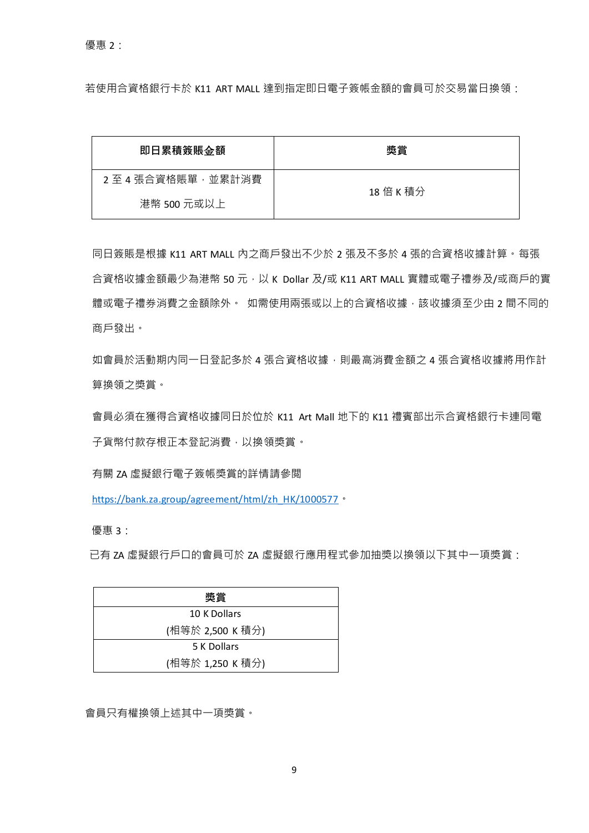若使用合資格銀行卡於 K11 ART MALL 達到指定即日電子簽帳金額的會員可於交易當日換領:

| 即日累積簽賬金額        | 奬賞        |
|-----------------|-----------|
| 2至4張合資格賬單,並累計消費 | 18 倍 K 積分 |
| 港幣 500 元或以上     |           |

同日簽賬是根據 K11 ART MALL 內之商戶發出不少於 2 張及不多於 4 張的合資格收據計算。每張 合資格收據金額最少為港幣 50 元, 以 K Dollar 及/或 K11 ART MALL 實體或電子禮券及/或商戶的實 體或電子禮券消費之金額除外。 如需使用兩張或以上的合資格收據, 該收據須至少由 2 間不同的 商戶發出。

如會員於活動期内同一日登記多於 4 張合資格收據,則最高消費金額之 4 張合資格收據將用作計 算換領之獎賞。

會員必須在獲得合資格收據同日於位於 K11 Art Mall 地下的 K11 禮賓部出示合資格銀行卡連同電 子貨幣付款存根正本登記消費,以換領獎賞。

有關 ZA 虛擬銀行電子簽帳獎賞的詳情請參閲

[https://bank.za.group/agreement/html/zh\\_HK/1000577](https://bank.za.group/agreement/html/zh_HK/1000577)。

優惠 3:

已有 ZA 虛擬銀行戶口的會員可於 ZA 虛擬銀行應用程式參加抽獎以換領以下其中一項獎賞:

| 獎嘗               |
|------------------|
| 10 K Dollars     |
| (相等於 2,500 K 積分) |
| 5 K Dollars      |
| (相等於 1,250 K 積分) |

會員只有權換領上述其中一項獎賞。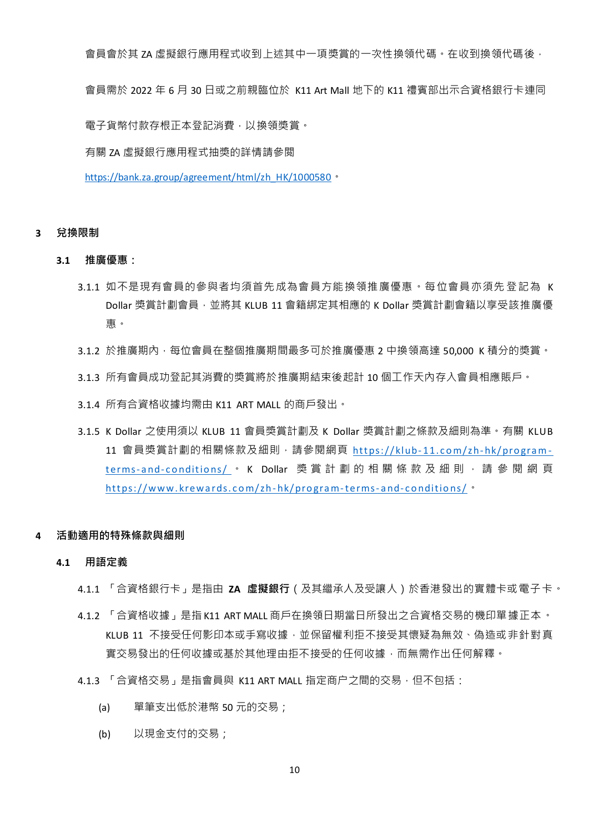會員會於其 ZA 虛擬銀行應用程式收到上述其中一項獎賞的一次性換領代碼。在收到換領代碼後,

會員需於 2022 年 6 月 30 日或之前親臨位於 K11 Art Mall 地下的 K11 禮賓部出示合資格銀行卡連同

電子貨幣付款存根正本登記消費,以換領獎賞。

有關 ZA 虛擬銀行應用程式抽獎的詳情請參閲

[https://bank.za.group/agreement/html/zh\\_HK/1000580](https://bank.za.group/agreement/html/zh_HK/1000580)。

### **3 兌換限制**

- **3.1 推廣優惠:**
	- 3.1.1 如不是現有會員的參與者均須首先成為會員方能換領推廣優惠。每位會員亦須先 登記為 K Dollar 獎賞計劃會員, 並將其 KLUB 11 會籍綁定其相應的 K Dollar 獎賞計劃會籍以享受該推廣優 惠。
	- 3.1.2 於推廣期內,每位會員在整個推廣期間最多可於推廣優惠 2 中換領高達 50,000 K 積分的獎賞。
	- 3.1.3 所有會員成功登記其消費的獎賞將於推廣期結束後起計 10 個工作天內存入會員相應賬戶。
	- 3.1.4 所有合資格收據均需由 K11 ART MALL 的商戶發出。
	- 3.1.5 K Dollar 之使用須以 KLUB 11 會員獎賞計劃及 K Dollar 獎賞計劃之條款及細則為準。有關 KLUB 11 會員獎賞計劃的相關條款及細則,請參閱網頁 https://klub-11.com/zh-hk/programterms-and-conditions/ · K Dollar 獎賞計劃的相關條款及細則,請參閱網頁 https://www.krewards.com/zh-hk/program-terms-and-conditions/。
- **4 活動適用的特殊條款與細則**

#### **4.1 用語定義**

- 4.1.1 「合資格銀行卡」是指由 **ZA 虛擬銀行**(及其繼承人及受讓人)於香港發出的實體卡或電子卡。
- 4.1.2 「合資格收據」是指 K11 ART MALL 商戶在換領日期當日所發出之合資格交易的機印單據正本。 KLUB 11 不接受任何影印本或手寫收據,並保留權利拒不接受其懷疑為無效、偽造或非針對真 實交易發出的任何收據或基於其他理由拒不接受的任何收據,而無需作出任何解釋。
- 4.1.3 「合資格交易」是指會員與 K11 ART MALL 指定商户之間的交易,但不包括:
	- (a) 單筆支出低於港幣 50 元的交易;
	- (b) 以現金支付的交易;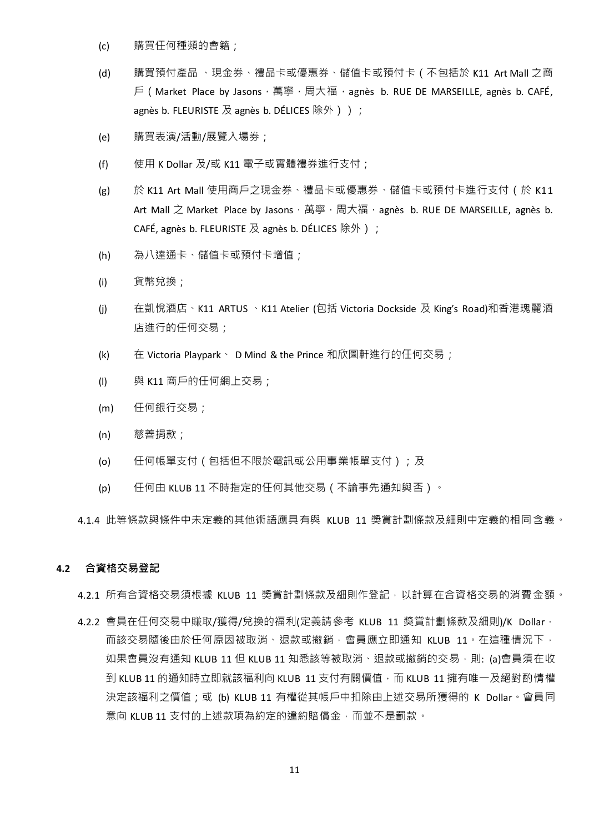- (c) 購買任何種類的會籍;
- (d) 購買預付產品 、現金券、禮品卡或優惠券、儲值卡或預付卡(不包括於 K11 Art Mall 之商 戶 (Market Place by Jasons,萬寧,周大福, agnès b. RUE DE MARSEILLE, agnès b. CAFÉ, agnès b. FLEURISTE  $R$  agnès b. DÉLICES 除外 ) ) ;
- (e) 購買表演/活動/展覽入場券;
- (f) 使用 K Dollar 及/或 K11 電子或實體禮券進行支付;
- (g) 於 K11 Art Mall 使用商戶之現金券、禮品卡或優惠券、儲值卡或預付卡進行支付(於 K11 Art Mall 之 Market Place by Jasons, 萬寧, 周大福, agnès b. RUE DE MARSEILLE, agnès b. CAFÉ, agnès b. FLEURISTE 及 agnès b. DÉLICES 除外);
- (h) 為八達通卡、儲值卡或預付卡增值;
- (i) 貨幣兌換;
- (j) 在凱悅酒店、K11 ARTUS 、K11 Atelier (包括 Victoria Dockside 及 King's Road)和香港瑰麗酒 店進行的任何交易;
- (k) 在 Victoria Playpark、 D Mind & the Prince 和欣圖軒進行的任何交易;
- (I) 與 K11 商戶的任何網上交易;
- (m) 任何銀行交易;
- (n) 慈善捐款;
- (o) 任何帳單支付(包括但不限於電訊或公用事業帳單支付);及
- (p) 任何由 KLUB 11 不時指定的任何其他交易(不論事先通知與否)。

4.1.4 此等條款與條件中未定義的其他術語應具有與 KLUB 11 獎賞計劃條款及細則中定義的相同含義。

## **4.2 合資格交易登記**

4.2.1 所有合資格交易須根據 KLUB 11 獎賞計劃條款及細則作登記, 以計算在合資格交易的消費金額。

4.2.2 會員在任何交易中賺取/獲得/兌換的福利(定義請參考 KLUB 11 獎賞計劃條款及細則)/K Dollar, 而該交易隨後由於任何原因被取消、退款或撤銷,會員應立即通知 KLUB 11。在這種情況下, 如果會員沒有通知 KLUB 11 但 KLUB 11 知悉該等被取消、退款或撤銷的交易,則: (a)會員須在收 到 KLUB 11 的通知時立即就該福利向 KLUB 11 支付有關價值, 而 KLUB 11 擁有唯一及絕對酌情權 決定該福利之價值;或 (b) KLUB 11 有權從其帳戶中扣除由上述交易所獲得的 K Dollar。會員同 意向 KLUB 11 支付的上述款項為約定的違約賠償金,而並不是罰款。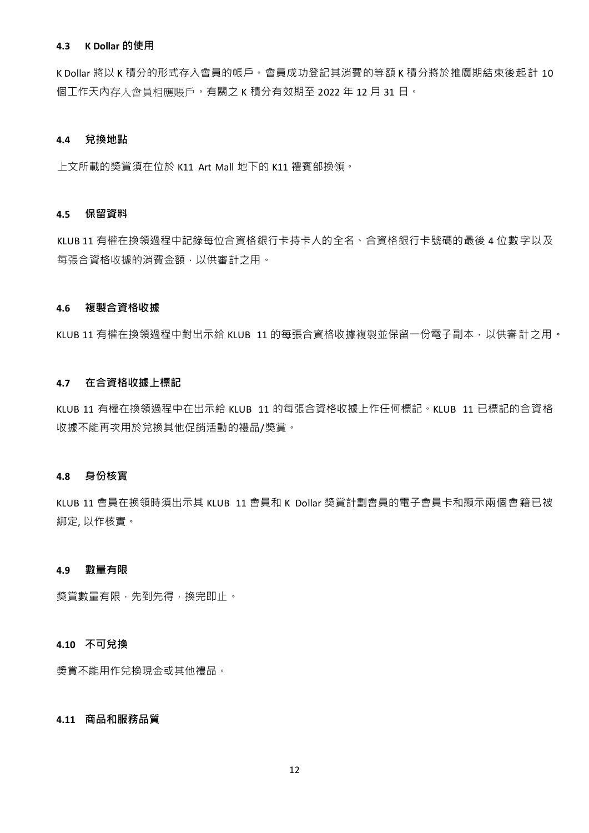### **4.3 K Dollar 的使用**

K Dollar 將以 K 積分的形式存入會員的帳戶。會員成功登記其消費的等額 K 積分將於推廣期結束後起計 10 個工作天內存入會員相應賬戶。有關之 K 積分有效期至 2022 年 12 月 31 日。

## **4.4 兌換地點**

上文所載的獎賞須在位於 K11 Art Mall 地下的 K11 禮賓部換領。

#### **4.5 保留資料**

KLUB 11 有權在換領過程中記錄每位合資格銀行卡持卡人的全名、合資格銀行卡號碼的最後 4 位數字以及 每張合資格收據的消費金額,以供審計之用。

## **4.6 複製合資格收據**

KLUB 11 有權在換領過程中對出示給 KLUB 11 的每張合資格收據複製並保留一份電子副本, 以供審計之用。

#### **4.7 在合資格收據上標記**

KLUB 11 有權在換領過程中在出示給 KLUB 11 的每張合資格收據上作任何標記。KLUB 11 已標記的合資格 收據不能再次用於兌換其他促銷活動的禮品/獎賞。

#### **4.8 身份核實**

KLUB 11 會員在換領時須出示其 KLUB 11 會員和 K Dollar 獎賞計劃會員的電子會員卡和顯示兩個會籍已被 綁定, 以作核實。

#### **4.9 數量有限**

獎賞數量有限,先到先得,換完即止。

#### **4.10 不可兌換**

獎賞不能用作兌換現金或其他禮品。

# **4.11 商品和服務品質**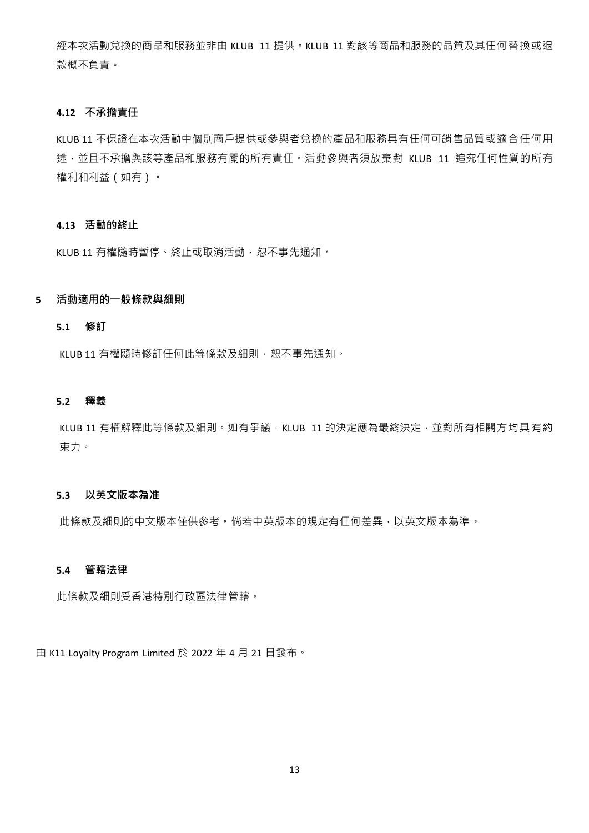經本次活動兌換的商品和服務並非由 KLUB 11 提供。KLUB 11 對該等商品和服務的品質及其任何替換或退 款概不負責。

#### **4.12 不承擔責任**

KLUB 11 不保證在本次活動中個別商戶提供或參與者兌換的產品和服務具有任何可銷售品質或適合任何用 途,並且不承擔與該等產品和服務有關的所有責任。活動參與者須放棄對 KLUB 11 追究任何性質的所有 權利和利益(如有)。

## **4.13 活動的終止**

KLUB 11 有權隨時暫停、終止或取消活動,恕不事先通知。

## **5 活動適用的一般條款與細則**

# **5.1 修訂**

KLUB 11 有權隨時修訂任何此等條款及細則,恕不事先通知。

## **5.2 釋義**

KLUB 11 有權解釋此等條款及細則。如有爭議, KLUB 11 的決定應為最終決定,並對所有相關方均具有約 束力。

### **5.3 以英文版本為准**

此條款及細則的中文版本僅供參考。倘若中英版本的規定有任何差異,以英文版本為準。

## **5.4 管轄法律**

此條款及細則受香港特別行政區法律管轄。

由 K11 Loyalty Program Limited 於 2022 年 4 月 21 日發布。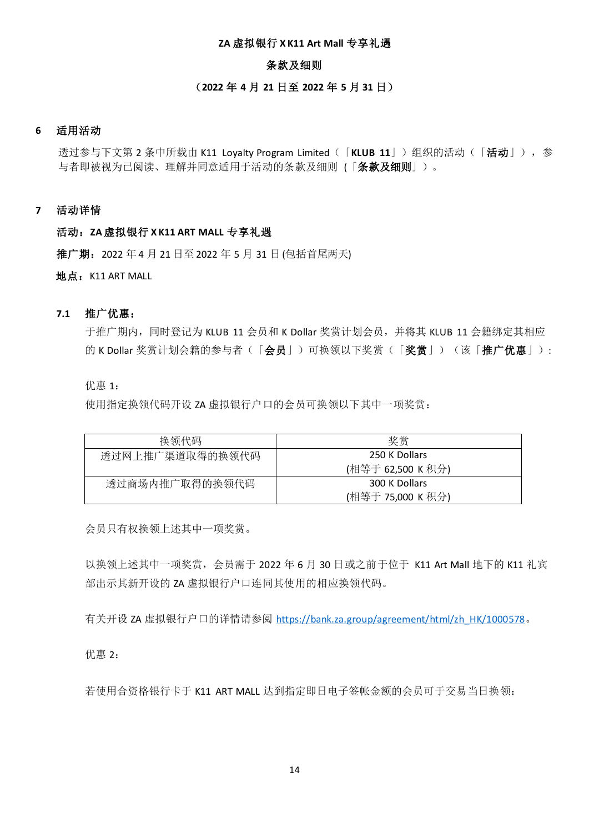## **ZA** 虚拟银行 **X K11 Art Mall** 专享礼遇

## 条款及细则

# (**2022** 年 **4** 月 **21** 日至 **2022** 年 **5** 月 **31** 日)

# **6** 适用活动

透过参与下文第 2 条中所载由 K11 Loyalty Program Limited(「KLUB 11」)组织的活动(「活动」), 参 与者即被视为已阅读、理解并同意适用于活动的条款及细则 (「条款及细则」)。

### **7** 活动详情

## 活动:**ZA** 虚拟银行 **X K11 ART MALL** 专享礼遇

推广期: 2022 年 4 月 21 日至 2022 年 5 月 31 日 (包括首尾两天)

地点: K11 ART MALL

## **7.1** 推广优惠:

于推广期内,同时登记为 KLUB 11 会员和 K Dollar 奖赏计划会员,并将其 KLUB 11 会籍绑定其相应 的 K Dollar 奖赏计划会籍的参与者(「会员」)可换领以下奖赏(「奖赏」)(该「推广优惠」):

优惠 1:

使用指定换领代码开设 ZA 虚拟银行户口的会员可换领以下其中一项奖赏:

| 换领代码            | 奖赏                |
|-----------------|-------------------|
| 透过网上推广渠道取得的换领代码 | 250 K Dollars     |
|                 | (相等于 62,500 K 积分) |
| 透过商场内推广取得的换领代码  | 300 K Dollars     |
|                 | (相等于 75,000 K 积分) |

会员只有权换领上述其中一项奖赏。

以换领上述其中一项奖赏,会员需于 2022 年 6 月 30 日或之前于位于 K11 Art Mall 地下的 K11 礼宾 部出示其新开设的 ZA 虚拟银行户口连同其使用的相应换领代码。

有关开设 ZA 虚拟银行户口的详情请参阅 [https://bank.za.group/agreement/html/zh\\_HK/1000578](https://bank.za.group/agreement/html/zh_HK/1000578)。

优惠 2:

若使用合资格银行卡于 K11 ART MALL 达到指定即日电子签帐金额的会员可于交易当日换领: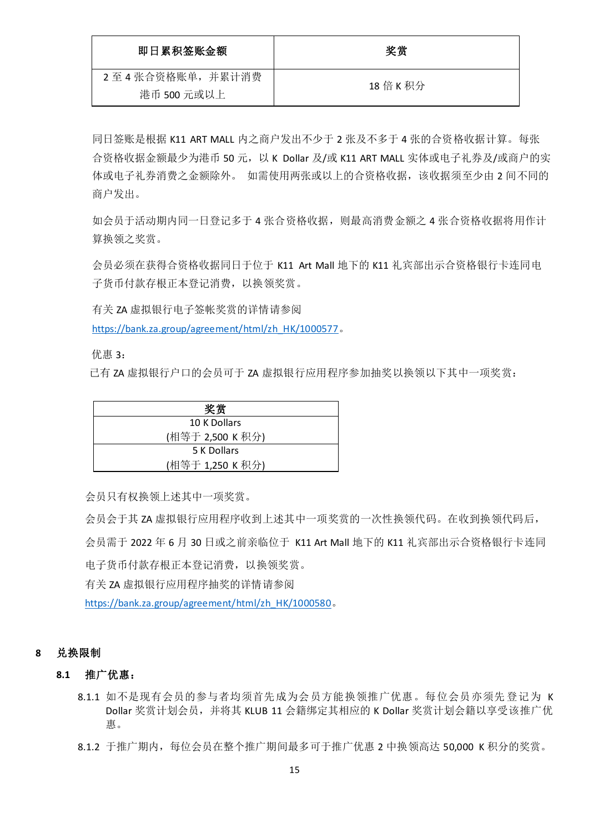| 即日累积签账金额        | 奖赏        |
|-----------------|-----------|
| 2至4张合资格账单,并累计消费 | 18 倍 K 积分 |
| 港币 500 元或以上     |           |

同日签账是根据 K11 ART MALL 内之商户发出不少于 2 张及不多于 4 张的合资格收据计算。每张 合资格收据金额最少为港币 50 元,以 K Dollar 及/或 K11 ART MALL 实体或电子礼券及/或商户的实 体或电子礼券消费之金额除外。如需使用两张或以上的合资格收据,该收据须至少由 2 间不同的 商户发出。

如会员于活动期内同一日登记多于 4 张合资格收据,则最高消费金额之 4 张合资格收据将用作计 算换领之奖赏。

会员必须在获得合资格收据同日于位于 K11 Art Mall 地下的 K11 礼宾部出示合资格银行卡连同电 子货币付款存根正本登记消费,以换领奖赏。

有关 ZA 虚拟银行电子签帐奖赏的详情请参阅

[https://bank.za.group/agreement/html/zh\\_HK/1000577](https://bank.za.group/agreement/html/zh_HK/1000577)。

优惠 3:

已有 ZA 虚拟银行户口的会员可于 ZA 虚拟银行应用程序参加抽奖以换领以下其中一项奖赏:

| 奖赏               |  |
|------------------|--|
| 10 K Dollars     |  |
| (相等于 2,500 K 积分) |  |
| 5 K Dollars      |  |
| (相等于 1,250 K 积分) |  |

会员只有权换领上述其中一项奖赏。

会员会于其 ZA 虚拟银行应用程序收到上述其中一项奖赏的一次性换领代码。在收到换领代码后, 会员需于 2022 年 6 月 30 日或之前亲临位于 K11 Art Mall 地下的 K11 礼宾部出示合资格银行卡连同 电子货币付款存根正本登记消费,以换领奖赏。

有关 ZA 虚拟银行应用程序抽奖的详情请参阅

[https://bank.za.group/agreement/html/zh\\_HK/1000580](https://bank.za.group/agreement/html/zh_HK/1000580)。

## **8** 兑换限制

## **8.1** 推广优惠:

- 8.1.1 如不是现有会员的参与者均须首先成为会员方能换领推广优惠。每位会员亦须先登记为 K Dollar 奖赏计划会员,并将其 KLUB 11 会籍绑定其相应的 K Dollar 奖赏计划会籍以享受该推广优 惠。
- 8.1.2 于推广期内,每位会员在整个推广期间最多可于推广优惠 2 中换领高达 50,000 K 积分的奖赏。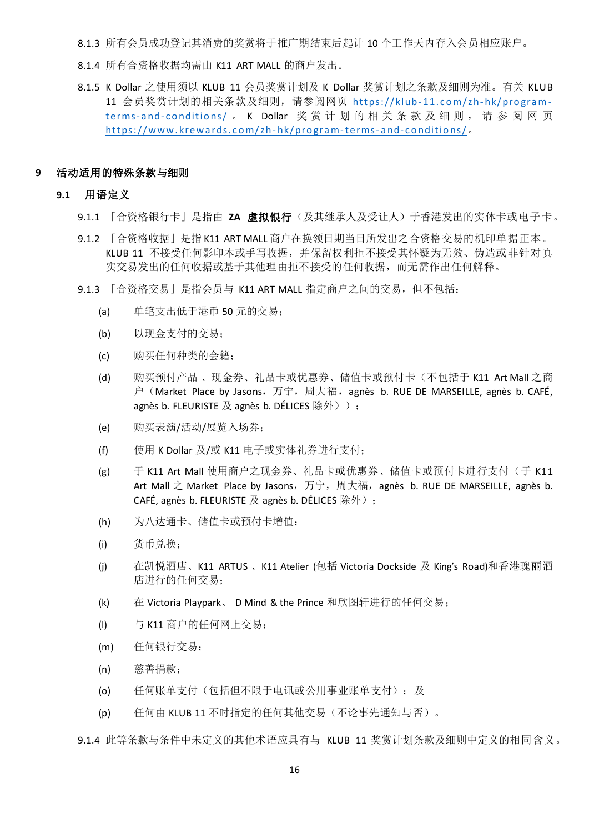8.1.3 所有会员成功登记其消费的奖赏将于推广期结束后起计 10 个工作天内存入会员相应账户。

- 8.1.4 所有合资格收据均需由 K11 ART MALL 的商户发出。
- 8.1.5 K Dollar 之使用须以 KLUB 11 会员奖赏计划及 K Dollar 奖赏计划之条款及细则为准。有关 KLUB 11 会员奖赏计划的相关条款及细则, 请参阅网页 https://klub-11.com/zh-hk/programterms-and-conditions/ 。 K Dollar 奖赏计划的相关条款及细则, 请参阅网页 https://www.krewards.com/zh-hk/program-terms-and-conditions/。

### **9** 活动适用的特殊条款与细则

### **9.1** 用语定义

- 9.1.1 「合资格银行卡」是指由 **ZA** 虚拟银行(及其继承人及受让人)于香港发出的实体卡或电子卡。
- 9.1.2 「合资格收据」是指 K11 ART MALL 商户在换领日期当日所发出之合资格交易的机印单据正本。 KLUB 11 不接受任何影印本或手写收据,并保留权利拒不接受其怀疑为无效、伪造或非针对真 实交易发出的任何收据或基于其他理由拒不接受的任何收据,而无需作出任何解释。
- 9.1.3 「合资格交易」是指会员与 K11 ART MALL 指定商户之间的交易, 但不包括:
	- (a) 单笔支出低于港币 50 元的交易;
	- (b) 以现金支付的交易;
	- (c) 购买任何种类的会籍;
	- (d) 购买预付产品 、现金券、礼品卡或优惠券、储值卡或预付卡(不包括于 K11 Art Mall 之商 户(Market Place by Jasons,万宁,周大福,agnès b. RUE DE MARSEILLE, agnès b. CAFÉ, agnès b. FLEURISTE 及 agnès b. DÉLICES 除外) );
	- (e) 购买表演/活动/展览入场券;
	- (f) 使用 K Dollar 及/或 K11 电子或实体礼券进行支付;
	- (g) 于 K11 Art Mall 使用商户之现金券、礼品卡或优惠券、储值卡或预付卡进行支付(于 K11 Art Mall 之 Market Place by Jasons,万宁,周大福,agnès b. RUE DE MARSEILLE, agnès b. CAFÉ, agnès b. FLEURISTE 及 agnès b. DÉLICES 除外);
	- (h) 为八达通卡、储值卡或预付卡增值;
	- (i) 货币兑换;
	- (j) 在凯悦酒店、K11 ARTUS 、K11 Atelier (包括 Victoria Dockside 及 King's Road)和香港瑰丽酒 店进行的任何交易;
	- (k) 在 Victoria Playpark、 D Mind & the Prince 和欣图轩进行的任何交易;
	- (l) 与 K11 商户的任何网上交易;
	- (m) 任何银行交易;
	- (n) 慈善捐款;
	- (o) 任何账单支付(包括但不限于电讯或公用事业账单支付);及
	- (p) 任何由 KLUB 11 不时指定的任何其他交易(不论事先通知与否)。

9.1.4 此等条款与条件中未定义的其他术语应具有与 KLUB 11 奖赏计划条款及细则中定义的相同含义。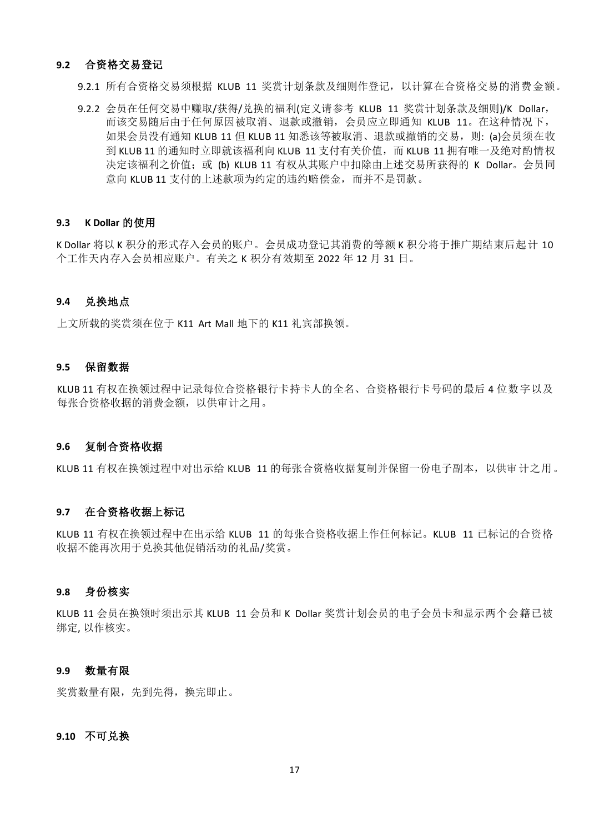### **9.2** 合资格交易登记

9.2.1 所有合资格交易须根据 KLUB 11 奖赏计划条款及细则作登记, 以计算在合资格交易的消费金额。

9.2.2 会员在任何交易中赚取/获得/兑换的福利(定义请参考 KLUB 11 奖赏计划条款及细则)/K Dollar, 而该交易随后由于任何原因被取消、退款或撤销,会员应立即通知 KLUB 11。在这种情况下, 如果会员没有通知 KLUB 11 但 KLUB 11 知悉该等被取消、退款或撤销的交易, 则: (a)会员须在收 到 KLUB 11 的通知时立即就该福利向 KLUB 11 支付有关价值, 而 KLUB 11 拥有唯一及绝对酌情权 决定该福利之价值;或 (b) KLUB 11 有权从其账户中扣除由上述交易所获得的 K Dollar。会员同 意向 KLUB 11 支付的上述款项为约定的违约赔偿金,而并不是罚款。

### **9.3 K Dollar** 的使用

K Dollar 将以 K 积分的形式存入会员的账户。会员成功登记其消费的等额 K 积分将于推广期结束后起计 10 个工作天内存入会员相应账户。有关之 K 积分有效期至 2022 年 12 月 31 日。

## **9.4** 兑换地点

上文所载的奖赏须在位于 K11 Art Mall 地下的 K11 礼宾部换领。

#### **9.5** 保留数据

KLUB 11 有权在换领过程中记录每位合资格银行卡持卡人的全名、合资格银行卡号码的最后 4 位数字以及 每张合资格收据的消费金额,以供审计之用。

#### **9.6** 复制合资格收据

KLUB 11 有权在换领过程中对出示给 KLUB 11 的每张合资格收据复制并保留一份电子副本,以供审计之用。

### **9.7** 在合资格收据上标记

KLUB 11 有权在换领过程中在出示给 KLUB 11 的每张合资格收据上作任何标记。KLUB 11 已标记的合资格 收据不能再次用于兑换其他促销活动的礼品/奖赏。

### **9.8** 身份核实

KLUB 11 会员在换领时须出示其 KLUB 11 会员和 K Dollar 奖赏计划会员的电子会员卡和显示两个会籍已被 绑定, 以作核实。

## **9.9** 数量有限

奖赏数量有限,先到先得,换完即止。

## **9.10** 不可兑换